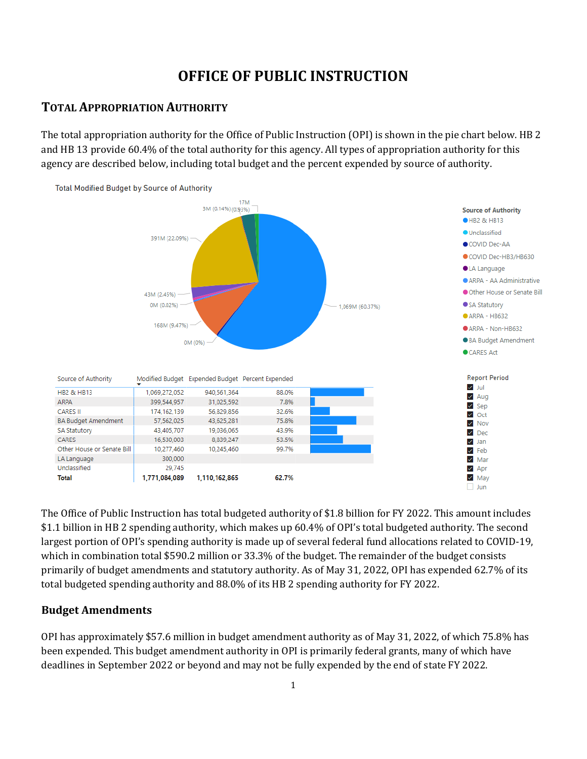# **OFFICE OF PUBLIC INSTRUCTION**

# **TOTAL APPROPRIATION AUTHORITY**

The total appropriation authority for the Office of Public Instruction (OPI) is shown in the pie chart below. HB 2 and HB 13 provide 60.4% of the total authority for this agency. All types of appropriation authority for this agency are described below, including total budget and the percent expended by source of authority.



The Office of Public Instruction has total budgeted authority of \$1.8 billion for FY 2022. This amount includes \$1.1 billion in HB 2 spending authority, which makes up 60.4% of OPI's total budgeted authority. The second largest portion of OPI's spending authority is made up of several federal fund allocations related to COVID-19, which in combination total \$590.2 million or 33.3% of the budget. The remainder of the budget consists primarily of budget amendments and statutory authority. As of May 31, 2022, OPI has expended 62.7% of its total budgeted spending authority and 88.0% of its HB 2 spending authority for FY 2022.

## **Budget Amendments**

OPI has approximately \$57.6 million in budget amendment authority as of May 31, 2022, of which 75.8% has been expended. This budget amendment authority in OPI is primarily federal grants, many of which have deadlines in September 2022 or beyond and may not be fully expended by the end of state FY 2022.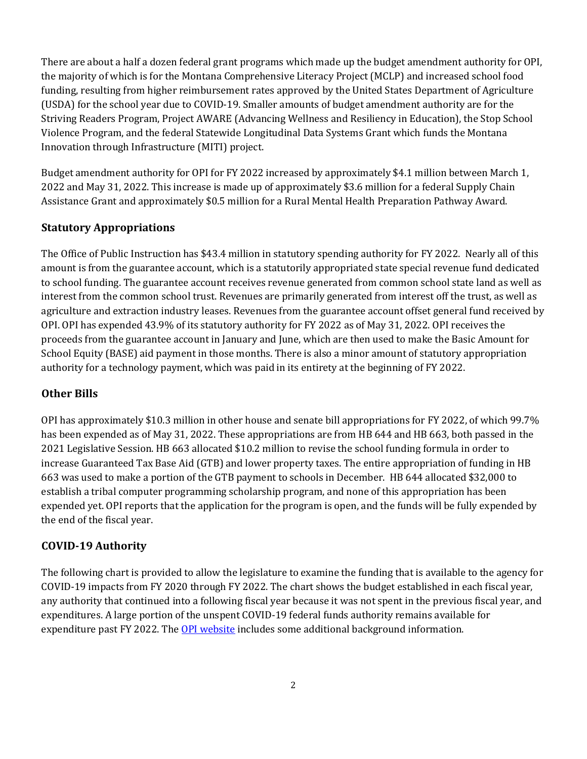There are about a half a dozen federal grant programs which made up the budget amendment authority for OPI, the majority of which is for the Montana Comprehensive Literacy Project (MCLP) and increased school food funding, resulting from higher reimbursement rates approved by the United States Department of Agriculture (USDA) for the school year due to COVID-19. Smaller amounts of budget amendment authority are for the Striving Readers Program, Project AWARE (Advancing Wellness and Resiliency in Education), the Stop School Violence Program, and the federal Statewide Longitudinal Data Systems Grant which funds the Montana Innovation through Infrastructure (MITI) project.

Budget amendment authority for OPI for FY 2022 increased by approximately \$4.1 million between March 1, 2022 and May 31, 2022. This increase is made up of approximately \$3.6 million for a federal Supply Chain Assistance Grant and approximately \$0.5 million for a Rural Mental Health Preparation Pathway Award.

# **Statutory Appropriations**

The Office of Public Instruction has \$43.4 million in statutory spending authority for FY 2022. Nearly all of this amount is from the guarantee account, which is a statutorily appropriated state special revenue fund dedicated to school funding. The guarantee account receives revenue generated from common school state land as well as interest from the common school trust. Revenues are primarily generated from interest off the trust, as well as agriculture and extraction industry leases. Revenues from the guarantee account offset general fund received by OPI. OPI has expended 43.9% of its statutory authority for FY 2022 as of May 31, 2022. OPI receives the proceeds from the guarantee account in January and June, which are then used to make the Basic Amount for School Equity (BASE) aid payment in those months. There is also a minor amount of statutory appropriation authority for a technology payment, which was paid in its entirety at the beginning of FY 2022.

# **Other Bills**

OPI has approximately \$10.3 million in other house and senate bill appropriations for FY 2022, of which 99.7% has been expended as of May 31, 2022. These appropriations are from HB 644 and HB 663, both passed in the 2021 Legislative Session. HB 663 allocated \$10.2 million to revise the school funding formula in order to increase Guaranteed Tax Base Aid (GTB) and lower property taxes. The entire appropriation of funding in HB 663 was used to make a portion of the GTB payment to schools in December. HB 644 allocated \$32,000 to establish a tribal computer programming scholarship program, and none of this appropriation has been expended yet. OPI reports that the application for the program is open, and the funds will be fully expended by the end of the fiscal year.

# **COVID-19 Authority**

The following chart is provided to allow the legislature to examine the funding that is available to the agency for COVID-19 impacts from FY 2020 through FY 2022. The chart shows the budget established in each fiscal year, any authority that continued into a following fiscal year because it was not spent in the previous fiscal year, and expenditures. A large portion of the unspent COVID-19 federal funds authority remains available for expenditure past FY 2022. The [OPI website](https://opi.mt.gov/COVID-19-Information/ESSER#9922711128-fund-coding) includes some additional background information.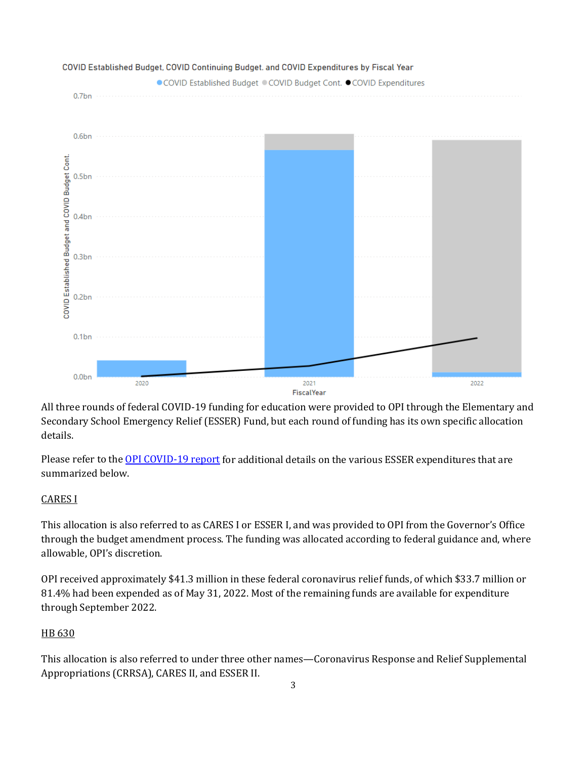

All three rounds of federal COVID-19 funding for education were provided to OPI through the Elementary and Secondary School Emergency Relief (ESSER) Fund, but each round of funding has its own specific allocation details.

Please refer to the [OPI COVID-19 report](https://leg.mt.gov/content/publications/fiscal/2023-Interim/IBC-E/OPI1.pdf) for additional details on the various ESSER expenditures that are summarized below.

## CARES I

This allocation is also referred to as CARES I or ESSER I, and was provided to OPI from the Governor's Office through the budget amendment process. The funding was allocated according to federal guidance and, where allowable, OPI's discretion.

OPI received approximately \$41.3 million in these federal coronavirus relief funds, of which \$33.7 million or 81.4% had been expended as of May 31, 2022. Most of the remaining funds are available for expenditure through September 2022.

#### HB 630

This allocation is also referred to under three other names—Coronavirus Response and Relief Supplemental Appropriations (CRRSA), CARES II, and ESSER II.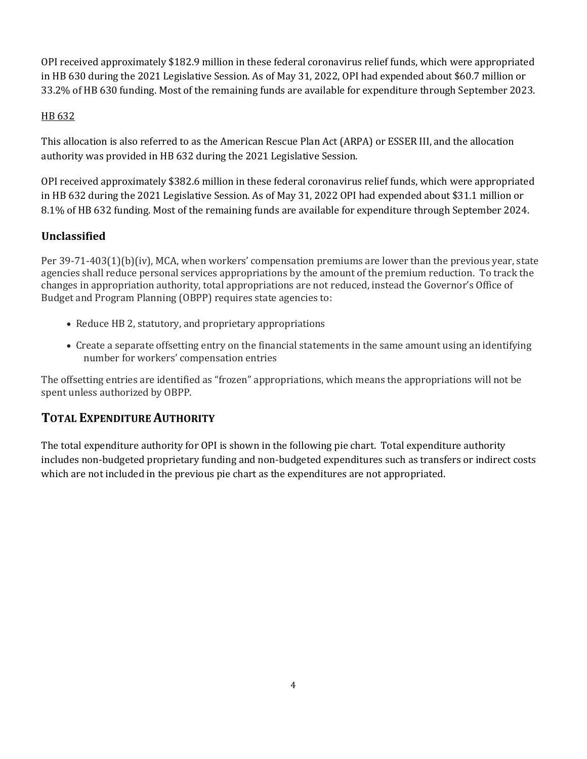OPI received approximately \$182.9 million in these federal coronavirus relief funds, which were appropriated in HB 630 during the 2021 Legislative Session. As of May 31, 2022, OPI had expended about \$60.7 million or 33.2% of HB 630 funding. Most of the remaining funds are available for expenditure through September 2023.

# HB 632

This allocation is also referred to as the American Rescue Plan Act (ARPA) or ESSER III, and the allocation authority was provided in HB 632 during the 2021 Legislative Session.

OPI received approximately \$382.6 million in these federal coronavirus relief funds, which were appropriated in HB 632 during the 2021 Legislative Session. As of May 31, 2022 OPI had expended about \$31.1 million or 8.1% of HB 632 funding. Most of the remaining funds are available for expenditure through September 2024.

# **Unclassified**

Per 39-71-403(1)(b)(iv), MCA, when workers' compensation premiums are lower than the previous year, state agencies shall reduce personal services appropriations by the amount of the premium reduction. To track the changes in appropriation authority, total appropriations are not reduced, instead the Governor's Office of Budget and Program Planning (OBPP) requires state agencies to:

- Reduce HB 2, statutory, and proprietary appropriations
- Create a separate offsetting entry on the financial statements in the same amount using an identifying number for workers' compensation entries

The offsetting entries are identified as "frozen" appropriations, which means the appropriations will not be spent unless authorized by OBPP.

# **TOTAL EXPENDITURE AUTHORITY**

The total expenditure authority for OPI is shown in the following pie chart. Total expenditure authority includes non-budgeted proprietary funding and non-budgeted expenditures such as transfers or indirect costs which are not included in the previous pie chart as the expenditures are not appropriated.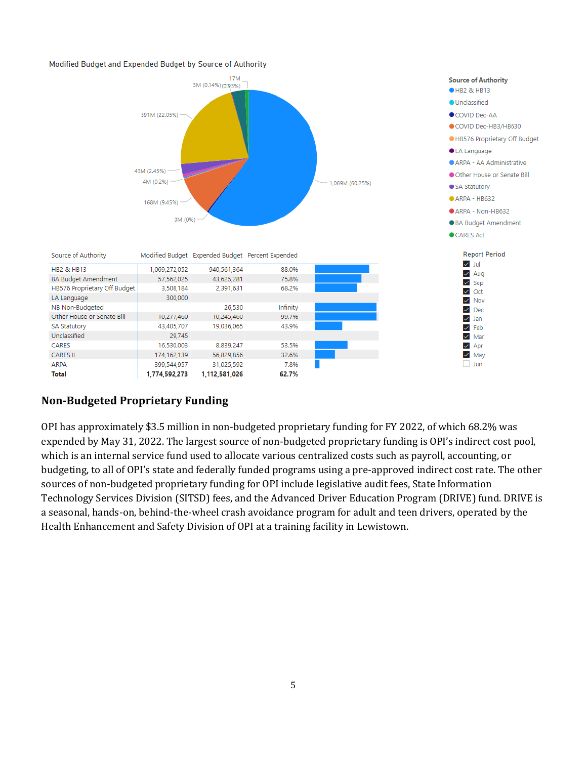#### Modified Budget and Expended Budget by Source of Authority



# **Non-Budgeted Proprietary Funding**

CARES

**ARPA** 

**Total** 

**CARES II** 

OPI has approximately \$3.5 million in non-budgeted proprietary funding for FY 2022, of which 68.2% was expended by May 31, 2022. The largest source of non-budgeted proprietary funding is OPI's indirect cost pool, which is an internal service fund used to allocate various centralized costs such as payroll, accounting, or budgeting, to all of OPI's state and federally funded programs using a pre-approved indirect cost rate. The other sources of non-budgeted proprietary funding for OPI include legislative audit fees, State Information Technology Services Division (SITSD) fees, and the Advanced Driver Education Program (DRIVE) fund. DRIVE is a seasonal, hands-on, behind-the-wheel crash avoidance program for adult and teen drivers, operated by the Health Enhancement and Safety Division of OPI at a training facility in Lewistown.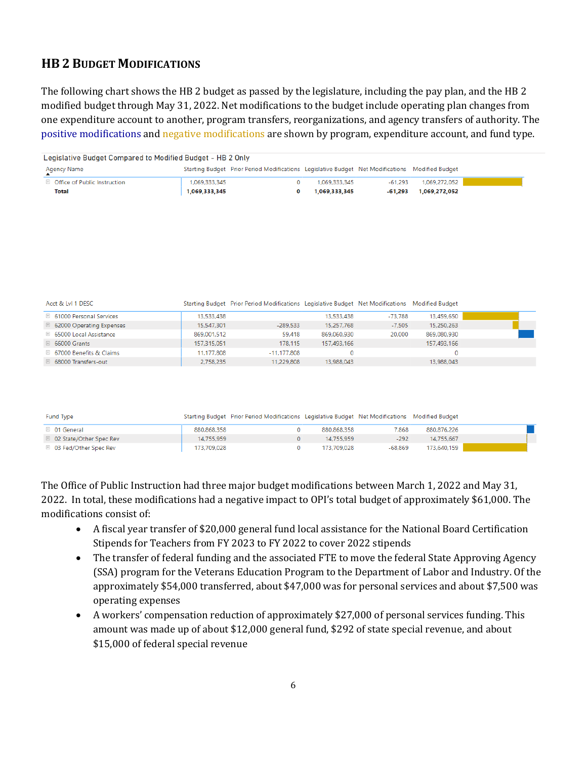# **HB 2 BUDGET MODIFICATIONS**

The following chart shows the HB 2 budget as passed by the legislature, including the pay plan, and the HB 2 modified budget through May 31, 2022. Net modifications to the budget include operating plan changes from one expenditure account to another, program transfers, reorganizations, and agency transfers of authority. The positive modifications and negative modifications are shown by program, expenditure account, and fund type.

| Starting Budget Prior Period Modifications Legislative Budget Net Modifications Modified Budget<br>Agency Name<br>$\boxplus$ Office of Public Instruction<br>1.069.272.052<br>1.069.333.345<br>1.069.333.345<br>-61.293<br>Total<br>1,069,333,345<br>1,069,272,052<br>1,069,333,345<br>-61.293 | Legislative Budget Compared to Modified Budget - HB 2 Only |  |  |  |  |  |  |  |
|------------------------------------------------------------------------------------------------------------------------------------------------------------------------------------------------------------------------------------------------------------------------------------------------|------------------------------------------------------------|--|--|--|--|--|--|--|
|                                                                                                                                                                                                                                                                                                |                                                            |  |  |  |  |  |  |  |
|                                                                                                                                                                                                                                                                                                |                                                            |  |  |  |  |  |  |  |
|                                                                                                                                                                                                                                                                                                |                                                            |  |  |  |  |  |  |  |

| Acct & Lvl 1 DESC                   |             | Starting Budget Prior Period Modifications Legislative Budget Net Modifications Modified Budget |             |          |             |  |
|-------------------------------------|-------------|-------------------------------------------------------------------------------------------------|-------------|----------|-------------|--|
| $\boxplus$ 61000 Personal Services  | 13.533.438  |                                                                                                 | 13.533.438  | -73,788  | 13.459.650  |  |
| $\boxplus$ 62000 Operating Expenses | 15.547.301  | $-289.533$                                                                                      | 15.257.768  | $-7,505$ | 15,250,263  |  |
| $\boxplus$ 65000 Local Assistance   | 869.001.512 | 59,418                                                                                          | 869.060.930 | 20,000   | 869.080.930 |  |
| $\boxplus$ 66000 Grants             | 157.315.051 | 178,115                                                                                         | 157.493.166 |          | 157,493,166 |  |
| □ 67000 Benefits & Claims           | 11.177.808  | -11.177.808                                                                                     |             |          |             |  |
| 68000 Transfers-out                 | 2.758.235   | 11.229.808                                                                                      | 13.988.043  |          | 13.988.043  |  |

| Fund Type                        |             | Starting Budget Prior Period Modifications Legislative Budget Net Modifications Modified Budget |             |         |             |  |
|----------------------------------|-------------|-------------------------------------------------------------------------------------------------|-------------|---------|-------------|--|
| $\boxplus$ 01 General            | 880.868.358 |                                                                                                 | 880.868.358 | 7.868   | 880,876,226 |  |
| □ 02 State/Other Spec Rev        | 14,755,959  |                                                                                                 | 14.755.959  | $-292$  | 14.755.667  |  |
| $\boxplus$ 03 Fed/Other Spec Rev | 173,709,028 |                                                                                                 | 173.709.028 | -68.869 | 173.640.159 |  |

The Office of Public Instruction had three major budget modifications between March 1, 2022 and May 31, 2022. In total, these modifications had a negative impact to OPI's total budget of approximately \$61,000. The modifications consist of:

- A fiscal year transfer of \$20,000 general fund local assistance for the National Board Certification Stipends for Teachers from FY 2023 to FY 2022 to cover 2022 stipends
- The transfer of federal funding and the associated FTE to move the federal State Approving Agency (SSA) program for the Veterans Education Program to the Department of Labor and Industry. Of the approximately \$54,000 transferred, about \$47,000 was for personal services and about \$7,500 was operating expenses
- A workers' compensation reduction of approximately \$27,000 of personal services funding. This amount was made up of about \$12,000 general fund, \$292 of state special revenue, and about \$15,000 of federal special revenue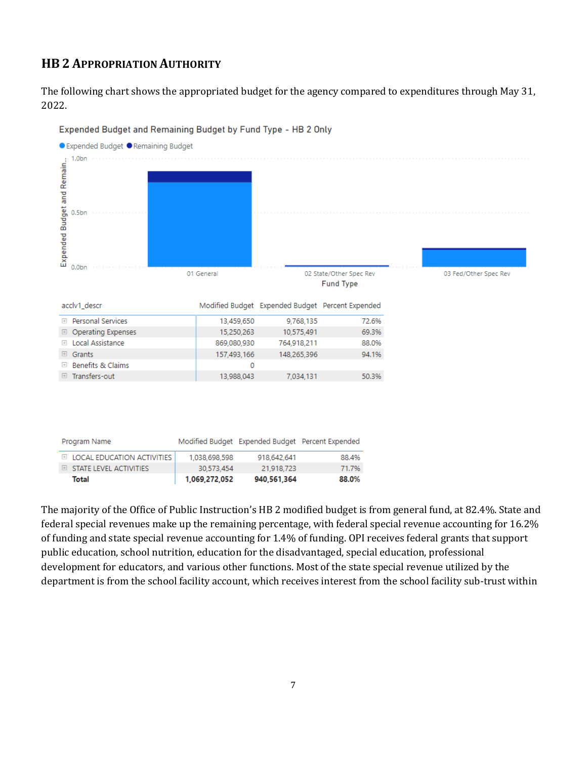# **HB 2 APPROPRIATION AUTHORITY**

The following chart shows the appropriated budget for the agency compared to expenditures through May 31, 2022.



#### Expended Budget and Remaining Budget by Fund Type - HB 2 Only

| Total                                 | 1,069,272,052 | 940,561,364 | 88.0%                                            |
|---------------------------------------|---------------|-------------|--------------------------------------------------|
| $\boxplus$ STATE LEVEL ACTIVITIES     | 30.573.454    | 21.918.723  | 71.7%                                            |
| $\boxplus$ Local Education activities | 1.038.698.598 | 918.642.641 | 88.4%                                            |
| -Program Name                         |               |             | Modified Budget Expended Budget Percent Expended |

The majority of the Office of Public Instruction's HB 2 modified budget is from general fund, at 82.4%. State and federal special revenues make up the remaining percentage, with federal special revenue accounting for 16.2% of funding and state special revenue accounting for 1.4% of funding. OPI receives federal grants that support public education, school nutrition, education for the disadvantaged, special education, professional development for educators, and various other functions. Most of the state special revenue utilized by the department is from the school facility account, which receives interest from the school facility sub-trust within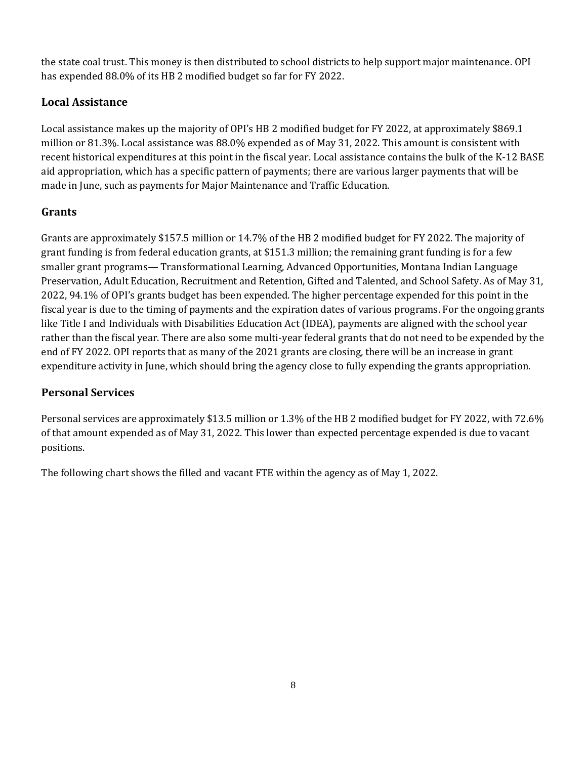the state coal trust. This money is then distributed to school districts to help support major maintenance. OPI has expended 88.0% of its HB 2 modified budget so far for FY 2022.

# **Local Assistance**

Local assistance makes up the majority of OPI's HB 2 modified budget for FY 2022, at approximately \$869.1 million or 81.3%. Local assistance was 88.0% expended as of May 31, 2022. This amount is consistent with recent historical expenditures at this point in the fiscal year. Local assistance contains the bulk of the K-12 BASE aid appropriation, which has a specific pattern of payments; there are various larger payments that will be made in June, such as payments for Major Maintenance and Traffic Education.

# **Grants**

Grants are approximately \$157.5 million or 14.7% of the HB 2 modified budget for FY 2022. The majority of grant funding is from federal education grants, at \$151.3 million; the remaining grant funding is for a few smaller grant programs— Transformational Learning, Advanced Opportunities, Montana Indian Language Preservation, Adult Education, Recruitment and Retention, Gifted and Talented, and School Safety. As of May 31, 2022, 94.1% of OPI's grants budget has been expended. The higher percentage expended for this point in the fiscal year is due to the timing of payments and the expiration dates of various programs. For the ongoing grants like Title I and Individuals with Disabilities Education Act (IDEA), payments are aligned with the school year rather than the fiscal year. There are also some multi-year federal grants that do not need to be expended by the end of FY 2022. OPI reports that as many of the 2021 grants are closing, there will be an increase in grant expenditure activity in June, which should bring the agency close to fully expending the grants appropriation.

# **Personal Services**

Personal services are approximately \$13.5 million or 1.3% of the HB 2 modified budget for FY 2022, with 72.6% of that amount expended as of May 31, 2022. This lower than expected percentage expended is due to vacant positions.

The following chart shows the filled and vacant FTE within the agency as of May 1, 2022.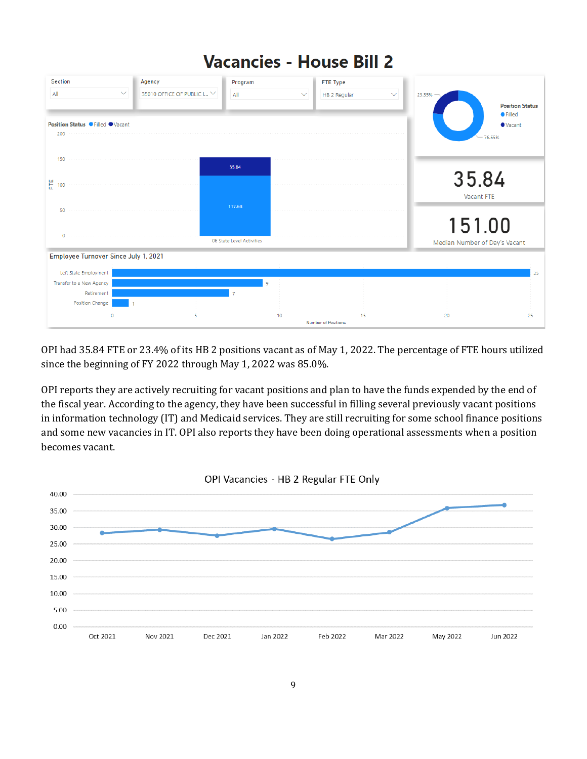

OPI had 35.84 FTE or 23.4% of its HB 2 positions vacant as of May 1, 2022. The percentage of FTE hours utilized since the beginning of FY 2022 through May 1, 2022 was 85.0%.

OPI reports they are actively recruiting for vacant positions and plan to have the funds expended by the end of the fiscal year. According to the agency, they have been successful in filling several previously vacant positions in information technology (IT) and Medicaid services. They are still recruiting for some school finance positions and some new vacancies in IT. OPI also reports they have been doing operational assessments when a position becomes vacant.

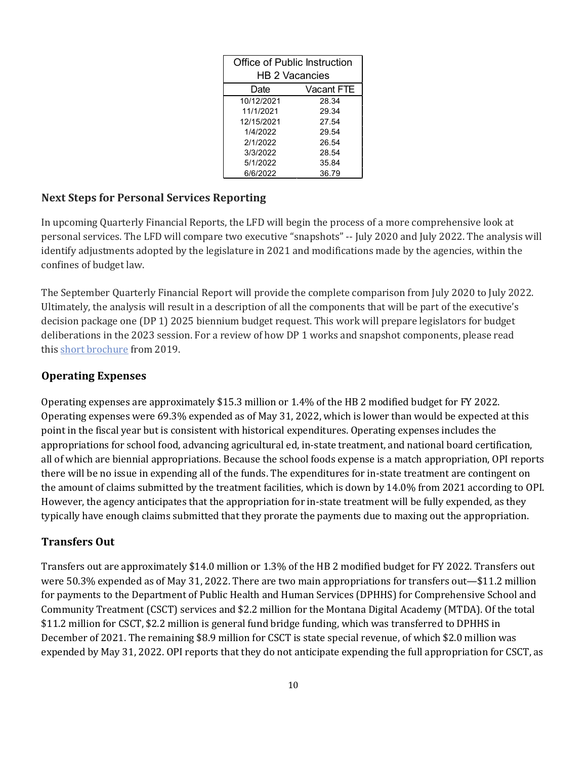| Office of Public Instruction |            |  |  |  |  |
|------------------------------|------------|--|--|--|--|
| <b>HB 2 Vacancies</b>        |            |  |  |  |  |
| Date                         | Vacant FTE |  |  |  |  |
| 10/12/2021                   | 28.34      |  |  |  |  |
| 11/1/2021                    | 29.34      |  |  |  |  |
| 12/15/2021                   | 27.54      |  |  |  |  |
| 1/4/2022                     | 29.54      |  |  |  |  |
| 2/1/2022                     | 26.54      |  |  |  |  |
| 3/3/2022                     | 28.54      |  |  |  |  |
| 5/1/2022                     | 35.84      |  |  |  |  |
| 6/6/2022                     | 36.79      |  |  |  |  |

# **Next Steps for Personal Services Reporting**

In upcoming Quarterly Financial Reports, the LFD will begin the process of a more comprehensive look at personal services. The LFD will compare two executive "snapshots" -- July 2020 and July 2022. The analysis will identify adjustments adopted by the legislature in 2021 and modifications made by the agencies, within the confines of budget law.

The September Quarterly Financial Report will provide the complete comparison from July 2020 to July 2022. Ultimately, the analysis will result in a description of all the components that will be part of the executive's decision package one (DP 1) 2025 biennium budget request. This work will prepare legislators for budget deliberations in the 2023 session. For a review of how DP 1 works and snapshot components, please read this [short brochure](https://montana.maps.arcgis.com/apps/Cascade/index.html?appid=23095fcf15754f4fb38b63c58a884b97) from 2019.

### **Operating Expenses**

Operating expenses are approximately \$15.3 million or 1.4% of the HB 2 modified budget for FY 2022. Operating expenses were 69.3% expended as of May 31, 2022, which is lower than would be expected at this point in the fiscal year but is consistent with historical expenditures. Operating expenses includes the appropriations for school food, advancing agricultural ed, in-state treatment, and national board certification, all of which are biennial appropriations. Because the school foods expense is a match appropriation, OPI reports there will be no issue in expending all of the funds. The expenditures for in-state treatment are contingent on the amount of claims submitted by the treatment facilities, which is down by 14.0% from 2021 according to OPI. However, the agency anticipates that the appropriation for in-state treatment will be fully expended, as they typically have enough claims submitted that they prorate the payments due to maxing out the appropriation.

## **Transfers Out**

Transfers out are approximately \$14.0 million or 1.3% of the HB 2 modified budget for FY 2022. Transfers out were 50.3% expended as of May 31, 2022. There are two main appropriations for transfers out—\$11.2 million for payments to the Department of Public Health and Human Services (DPHHS) for Comprehensive School and Community Treatment (CSCT) services and \$2.2 million for the Montana Digital Academy (MTDA). Of the total \$11.2 million for CSCT, \$2.2 million is general fund bridge funding, which was transferred to DPHHS in December of 2021. The remaining \$8.9 million for CSCT is state special revenue, of which \$2.0 million was expended by May 31, 2022. OPI reports that they do not anticipate expending the full appropriation for CSCT, as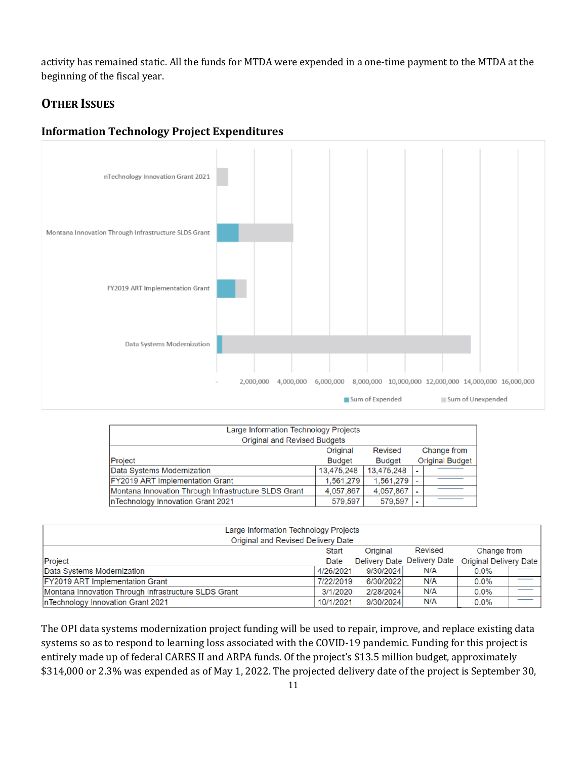activity has remained static. All the funds for MTDA were expended in a one-time payment to the MTDA at the beginning of the fiscal year.

# **OTHER ISSUES**

#### **Information Technology Project Expenditures**



| Large Information Technology Projects<br><b>Original and Revised Budgets</b> |               |               |                          |                        |  |  |  |  |
|------------------------------------------------------------------------------|---------------|---------------|--------------------------|------------------------|--|--|--|--|
| Change from<br><b>Revised</b><br>Original                                    |               |               |                          |                        |  |  |  |  |
| Project                                                                      | <b>Budget</b> | <b>Budget</b> |                          | <b>Original Budget</b> |  |  |  |  |
| Data Systems Modernization                                                   | 13,475,248    | 13,475,248    | $\overline{\phantom{0}}$ |                        |  |  |  |  |
| FY2019 ART Implementation Grant                                              | 1,561,279     | 1,561,279     |                          |                        |  |  |  |  |
| Montana Innovation Through Infrastructure SLDS Grant                         | 4,057,867     | 4,057,867     |                          |                        |  |  |  |  |
| InTechnology Innovation Grant 2021                                           | 579,597       | 579,597       | $\overline{\phantom{0}}$ |                        |  |  |  |  |

| Large Information Technology Projects                |           |           |                             |                        |  |  |  |  |
|------------------------------------------------------|-----------|-----------|-----------------------------|------------------------|--|--|--|--|
| Original and Revised Delivery Date                   |           |           |                             |                        |  |  |  |  |
| Revised<br>Original<br>Change from<br><b>Start</b>   |           |           |                             |                        |  |  |  |  |
| Project                                              | Date      |           | Delivery Date Delivery Date | Original Delivery Date |  |  |  |  |
| Data Systems Modernization                           | 4/26/2021 | 9/30/2024 | N/A                         | $0.0\%$                |  |  |  |  |
| <b>FY2019 ART Implementation Grant</b>               | 7/22/2019 | 6/30/2022 | N/A                         | 0.0%                   |  |  |  |  |
| Montana Innovation Through Infrastructure SLDS Grant | 3/1/2020  | 2/28/2024 | N/A                         | $0.0\%$                |  |  |  |  |
| InTechnology Innovation Grant 2021                   | 10/1/2021 | 9/30/2024 | N/A                         | 0.0%                   |  |  |  |  |

The OPI data systems modernization project funding will be used to repair, improve, and replace existing data systems so as to respond to learning loss associated with the COVID-19 pandemic. Funding for this project is entirely made up of federal CARES II and ARPA funds. Of the project's \$13.5 million budget, approximately \$314,000 or 2.3% was expended as of May 1, 2022. The projected delivery date of the project is September 30,